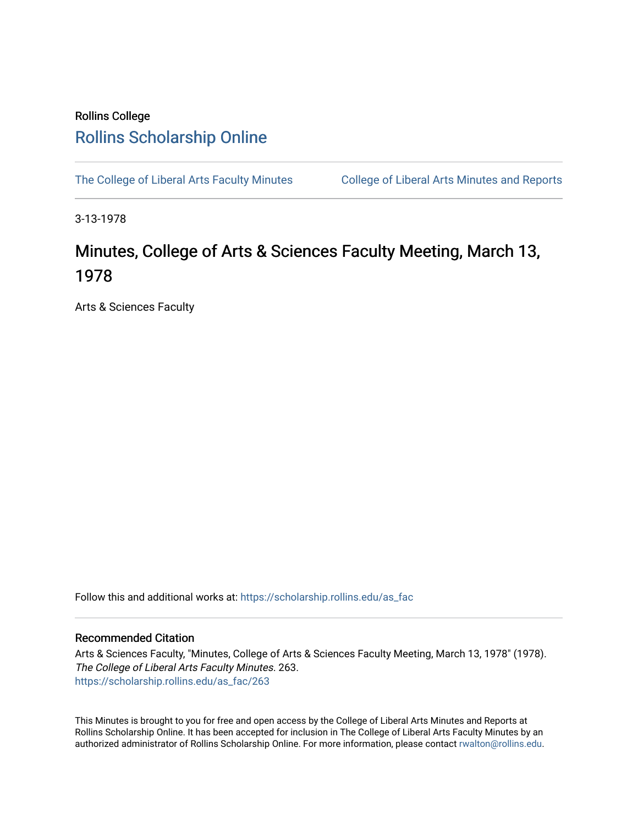## Rollins College [Rollins Scholarship Online](https://scholarship.rollins.edu/)

[The College of Liberal Arts Faculty Minutes](https://scholarship.rollins.edu/as_fac) College of Liberal Arts Minutes and Reports

3-13-1978

## Minutes, College of Arts & Sciences Faculty Meeting, March 13, 1978

Arts & Sciences Faculty

Follow this and additional works at: [https://scholarship.rollins.edu/as\\_fac](https://scholarship.rollins.edu/as_fac?utm_source=scholarship.rollins.edu%2Fas_fac%2F263&utm_medium=PDF&utm_campaign=PDFCoverPages) 

## Recommended Citation

Arts & Sciences Faculty, "Minutes, College of Arts & Sciences Faculty Meeting, March 13, 1978" (1978). The College of Liberal Arts Faculty Minutes. 263. [https://scholarship.rollins.edu/as\\_fac/263](https://scholarship.rollins.edu/as_fac/263?utm_source=scholarship.rollins.edu%2Fas_fac%2F263&utm_medium=PDF&utm_campaign=PDFCoverPages) 

This Minutes is brought to you for free and open access by the College of Liberal Arts Minutes and Reports at Rollins Scholarship Online. It has been accepted for inclusion in The College of Liberal Arts Faculty Minutes by an authorized administrator of Rollins Scholarship Online. For more information, please contact [rwalton@rollins.edu](mailto:rwalton@rollins.edu).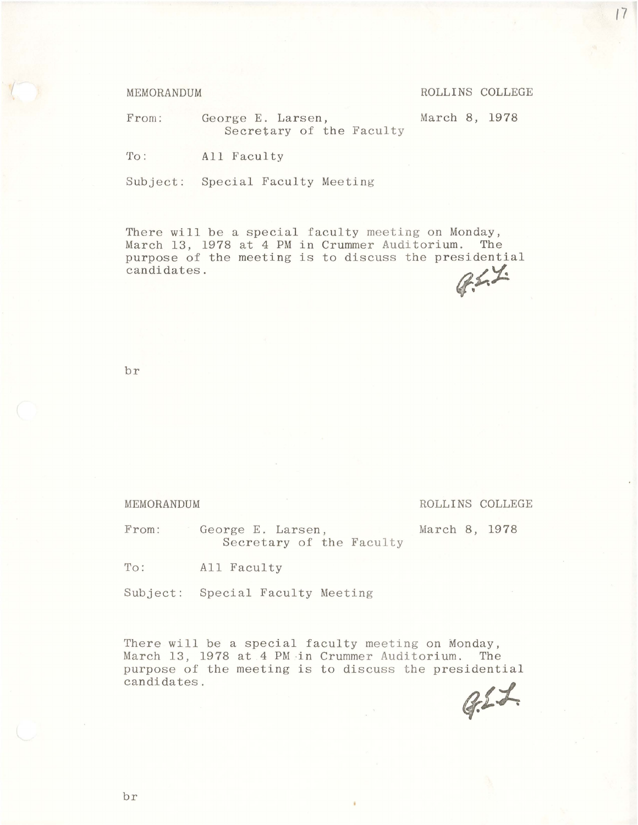MEMORANDUM ROLLINS COLLEGE

From: George E. Larsen, March 8, 1978

Secretary of the Faculty

To: All Faculty

Subject: Special Faculty Meeting

There will be a special faculty meeting on Monday, March 13, 1978 at 4 PM in Crummer Auditorium. The purpose of the meeting is to discuss the presidential candidates.

br

MEMORANDUM ROLLINS COLLEGE

From: George E. Larsen, March 8, 1978 Secretary of the Faculty

To: All Faculty

Subject: Special Faculty Meeting

There will be a special faculty meeting on Monday, March 13, 1978 at 4 PM in Crummer Auditorium. The purpose of the meeting is to discuss the presidential candidates.

 $Q21$ 

*(7*